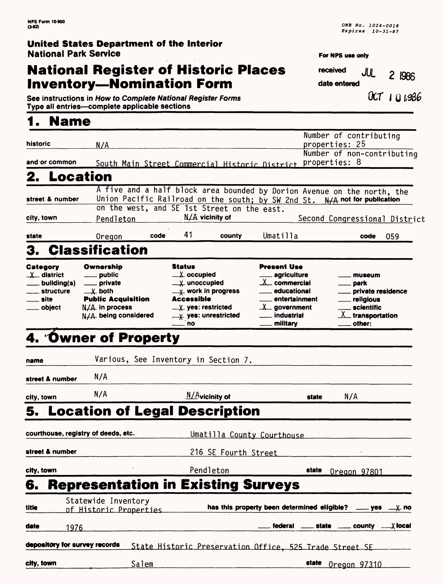# **National Register of Historic Places Inventory—Nomination Form**

**For NPS use only** 

**received JUL** 2 1986 **date entered**

**See instructions in How to Complete National Register Forms**  $0$ **CT | U 1986 Type all entries—complete applicable sections** 

# **1. Name**

|                               |                                                |                                          |                      |                                                                            | Number of contributing                                                  |
|-------------------------------|------------------------------------------------|------------------------------------------|----------------------|----------------------------------------------------------------------------|-------------------------------------------------------------------------|
| historic                      | N/A                                            |                                          |                      |                                                                            | properties: 25                                                          |
| and or common                 |                                                |                                          |                      |                                                                            | Number of non-contributing                                              |
|                               | South Main Street Commercial Historic District |                                          |                      |                                                                            | properties: 8                                                           |
| 2. Location                   |                                                |                                          |                      |                                                                            |                                                                         |
|                               |                                                |                                          |                      |                                                                            | A five and a half block area bounded by Dorion Avenue on the north, the |
| street & number               | on the west, and SE 1st Street on the east.    |                                          |                      | Union Pacific Railroad on the south; by SW 2nd St. N/A not for publication |                                                                         |
| city, town                    | Pendleton                                      | $N/A$ vicinity of                        |                      |                                                                            | Second Congressional District                                           |
|                               |                                                |                                          |                      |                                                                            |                                                                         |
| state                         | Oregon                                         | 41<br>code                               | county               | Umatilla                                                                   | 059<br>code                                                             |
| 3.                            | <b>Classification</b>                          |                                          |                      |                                                                            |                                                                         |
| Category                      | Ownership                                      | Status                                   |                      | <b>Present Use</b>                                                         |                                                                         |
| $\chi$ district               | ___ public                                     | $\_\,\_\,\chi$ occupied                  |                      | <sub>—</sub> agricuiture                                                   | museum                                                                  |
| building(s)                   | private                                        | $\frac{y}{x}$ unoccupied                 |                      | $X_{-}$ commercial                                                         | park                                                                    |
| structure<br>site             | $\perp$ both<br><b>Public Acquisition</b>      | $-\times$ work in progress<br>Accessible |                      | educational<br>entertainment                                               | private residence<br>religious                                          |
| object                        | $N/A$ in process                               | $\_\,\chi$ yes: restricted               |                      | $\lambda$ government                                                       | scientific                                                              |
|                               | N/A being considered                           | X yes: unrestricted                      |                      | industrial                                                                 | _transportation                                                         |
|                               |                                                | $\equiv$ no                              |                      | military                                                                   | other:                                                                  |
|                               | 4. Owner of Property                           |                                          |                      |                                                                            |                                                                         |
| name                          | Various, See Inventory in Section 7.           |                                          |                      |                                                                            |                                                                         |
| street & number               | N/A                                            |                                          |                      |                                                                            |                                                                         |
| city, town                    | N/A                                            | $N/A$ vicinity of                        |                      | state                                                                      | N/A                                                                     |
|                               | 5. Location of Legal Description               |                                          |                      |                                                                            |                                                                         |
|                               | courthouse, registry of deeds, etc.            |                                          |                      | Umatilla County Courthouse                                                 |                                                                         |
| street & number               |                                                |                                          | 216 SE Fourth Street |                                                                            |                                                                         |
|                               |                                                |                                          |                      |                                                                            |                                                                         |
| city, town                    |                                                |                                          | Pendleton            | state                                                                      | Oregon 97801                                                            |
| 6.                            | <b>Representation in Existing Surveys</b>      |                                          |                      |                                                                            |                                                                         |
| title                         | Statewide Inventory<br>of Historic Properties  |                                          |                      |                                                                            | has this property been determined eligible? __ yes __ y. no             |
|                               |                                                |                                          |                      |                                                                            |                                                                         |
| date<br>1976                  |                                                |                                          |                      |                                                                            | federal _____ state _____ county _<br>$\bm{\mathsf{\chi}}$ local        |
| depository for survey records |                                                |                                          |                      | State Historic Preservation Office, 525 Trade Street SE                    |                                                                         |
| city, town                    | Salem                                          |                                          |                      | state                                                                      | <u>Oregon 97310</u>                                                     |
|                               |                                                |                                          |                      |                                                                            |                                                                         |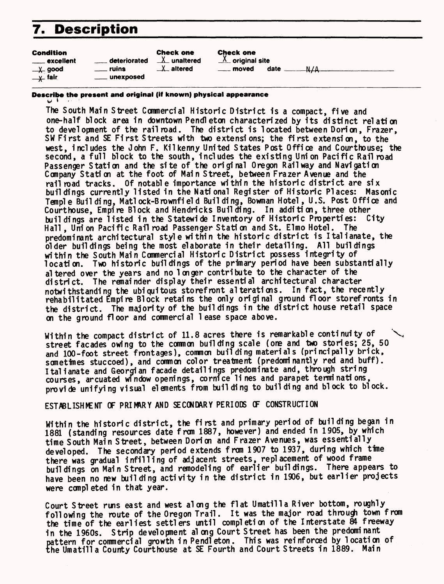# **7. Description**

#### Co

| <b>Condition</b>    |                   | <b>Check one</b>    | <b>Check</b> |
|---------------------|-------------------|---------------------|--------------|
| ____ excellent      | deteriorated      | $\lambda$ unaltered | $X$ orie     |
| —X– good            | <u>_</u> __ ruins | $X$ altered         | —— mo        |
| $\overline{y}$ fair | ____ unexposed    |                     |              |

#### one

ginal site

 $w$ ed date  $M/A$ 

### **Describe the present and original (iff known) physical appearance** w \* • • •'

The South Main Street Commercial Historic District is a compact, five and one-half block area in downtown Pendleton characterized by its distinct relation to development of the railroad. The district is located between Dorion, Frazer, SW First and SE First Streets with two extensions; the first extension, to the west, includes the John F. Kilkenny United States Post Office and Courthouse; the second, a full block to the south, includes the existing Union Pacific Railroad Passenger Station and the site of the original Oregon Railway and Navigation Company Station at the foot of Main Street, between Frazer Avenue and the rail road tracks. Of notable importance within the historic district are  $six$ buildings currently listed in the National Register of Historic Places: Masonic Temple Building, Matlock-Brownfield Building, Bowman Hotel, U.S. Post Office and Courthouse, Empire Block and Hendricks Building. In addition, three other buildings are listed in the Statewide Inventory of Historic Properties: City Hall, Union Pacific Rail road Passenger Station and St. Elmo Hotel. The predominant architectural style within the historic district is Italianate, the older buildings being the most elaborate in their detailing. All buildings within the South Main Commercial Historic District possess integrity of location. Two historic buildings of the primary period have been substantially altered over the years and no longer contribute to the character of the district. The remainder display their essential architectural character notwithstanding the ubiquitous storefront alterations. In fact, the recently rehabilitated Empire Block retains the only original ground floor storefronts in the district. The majority of the buildings in the district house retail space on the ground floor and commercial lease space above.

Within the compact district of  $11.8$  acres there is remarkable continuity of street facades owing to the common building scale (one and two stories; 25, 50 and 100-foot street frontages), common building materials (principally brick, sometimes stuccoed), and common color treatment (predominantly red and buff). I talianate and Georgian facade detailings predominate and, through string courses, arcuated window openings, cornice lines and parapet terminations, provide unifying visual elements from building to building and block to block.

#### ESTABLISHMENT OF PRIMARY AND SECONDARY PERIODS CF CONSTRUCTION

Within the historic district, the first and primary period of building began in 1881 (standing resources date from 1887, however) and ended in 1905, by which time South Main Street, between Doricn and Frazer Avenues, was essentially developed. The secondary period extends from 1907 to 1937, during which time there was gradual infilling of adjacent streets, replacement of wood frame buildings on Main Street, and remodeling of earlier buildings. There appears to have been no new building activity in the district in 1906, but earlier projects were completed in that year.

Court Street runs east and west along the flat Umatilla River bottom, roughly following the route of the Oregon Trail. It was the major road through town from the time of the earliest settlers until completion of the Interstate &4 freeway in the 1960s. Strip development along Court Street has been the predominant pattern for commercial growth in Pendleton. This was reinforced by location of the Umatilla County Courthouse at SE Fourth and Court Streets in 1889. Main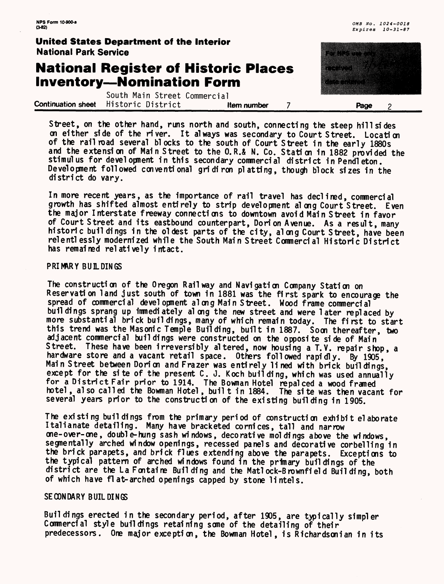# **National Register of Historic Places Inventory—Nomination Form**

South Main Street Commercial **Continuation sheet** Historic District **Item number 7 Page** 2

Street, on the other hand, runs north and south, connecting the steep hillsides on either side of the n'ver. It always was secondary to Court Street. Location of the railroad several blocks to the south of Court Street in the early 1880s and the extension of Main Street to the 0.R.& N. Co. Station in 1882 provided the stimulus for development in this secondary commercial district in Pendleton. Development followed conventional gridiron platting, though block sizes in the district do vary.

In more recent years, as the importance of rail travel has declined, commercial growth has shifted almost entirely to strip development al ong Court Street. Even the major Interstate freeway connections to downtown avoid Main Street in favor of Court Street and its eastbound counterpart, Dorion Avenue. As a result, many historic buildings in the oldest parts of the city, along Court Street, have been relentlessly modernized while the South Main Street Commercial Historic District has remained relatively intact.

#### **PRIMARY BUILDINGS**

The construction of the Oregon Railway and Navigation Company Station on Reservation land just south of town in 1881 was the first spark to encourage the spread of commercial development along Main Street. Wood frame commercial buil dings sprang up immediately along the new street and were later replaced by more substantial brick buildings, many of which remain today. The first to start this trend was the Masonic Temple Building, built in 1887. Soon thereafter, two adjacent commercial buildings were constructed on the opposite side of Main Street. These have been irreversibly altered, now housing a T.Y. repair shop, a hardware store and a vacant retail space. Others followed rapidly. By 1905, Main Street between Dorion and Frazer was entirely lined with brick buildings, except for the site of the present  $C.$  J. Koch building, which was used annually for a District Fair prior to 1914. The Bowman Hotel repalced a wood framed hotel, also called the Bowman Hotel, buil t in 1884. The site was then vacant for several years prior to the construction of the existing building in 1905.

The existing buildings from the primary period of construction exhibit elaborate Italianate detailing. Many have bracketed cornices, tall and narrow one-over-one, double-hung sash windows, decorative moldings above the windows, segnentally arched window openings, recessed panels and decorative corbelling in the brick parapets, and brick flues extending above the parapets. Exceptions to the typical pattern of arched windows found in the primary buildings of the district are the La Fontaine Building and the Matlock-B rownfield Building, both of which have flat-arched openings capped by stone lintels.

#### **SECONDARY BUILDINGS**

Buildings erected in the secondary period, after 1905, are typically simpler Conmercial style buildings retaining some of the detailing of their predecessors. One major exception, the Bowman Hotel, is Richardsonian in its

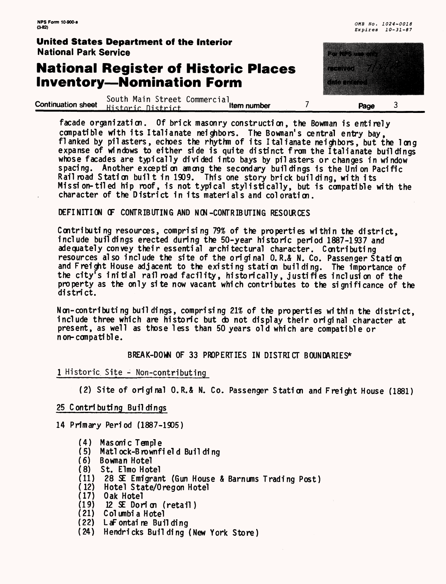ta kuni

a da da basan da daga da da da a gaban da a gaban da a gaban da a gaban da a gaban da a gaban da a gaban da a<br>Manazarta

### **United States Department of the Interior** National Park Service

# **National Register of Historic Places Inventory—Nomination Form**

^ .. . . South Main Street Commercial ., continuation sheet H i <; t nr 1 r n i <;t. n' rt ltem number\_\_\_\_\_/\_\_\_\_\_\_\_Page 3

facade organization. Of brick masonry construction, the Bowman is entirely compatible with its Italianate neighbors. The Bownan's central entry bay, flanked by pilasters, echoes the rhythm of its Italianate neighbors, but the long expanse of windows to either side is quite distinct from the Italianate buildings whose facades are typically divided into bays by pilasters or changes in window spacing. Another exception among the secondary buildings is the Union Pacific Railroad Station built in 1909. This one story brick building, with its Mission-tiled hip roof, is not typical stylistically, but is compatible with the character of the District in its materials and coloration.

DEFINITION OF CONTRIBUTING AND NON-CONTRIBUTING RESOURCES

Contributing resources, comprising 79% of the properties within the district, include buildings erected during the 50-year historic period 1887-1937 and adequately convey their essential architectural character. Contributing resources also include the site of the original 0.R.& N. Co. Passenger Station and Freight House adjacent to the existing station building. The importance of the city's initial rail road facility, historically, justifies inclusion of the property as the only site now vacant which contributes to the significance of the district.

N on-contributing buildings, comprising 21% of the properties within the district, include three which are historic but do not display their original character at present, as well as those less than 50 years old which are compatible or n on-compatible.

BREAK-DOWN OF 33 PROPERTIES IN DISTRICT BOUNDARIES\*

1 Historic Site - Non-contributing

(2) Site of original O.R.& N. Co. Passenger Station and Freight House (1881)

25 Contributing Buildings

14 Primary Period (1887-1905)

- (4) Masonic Temple
- (5) Matlock-Brownfield Building<br>(6) Bowman Hotel
- (6) Bowman Hotel<br>(8) St. Elmo Hot
- St. Elmo Hotel
- (11) 28 SE Emigrant (Gun House & Barnums Trading Post)<br>(12) Hotel State/Oregon Hotel
- Hotel State/Oregon Hotel
- (17) Oak Hotel
- 12 SE Dorion (retail)
- (21) Columbia Hotel
- (22) LaFontaine Building
- (24) Hendricks Building (New York Store)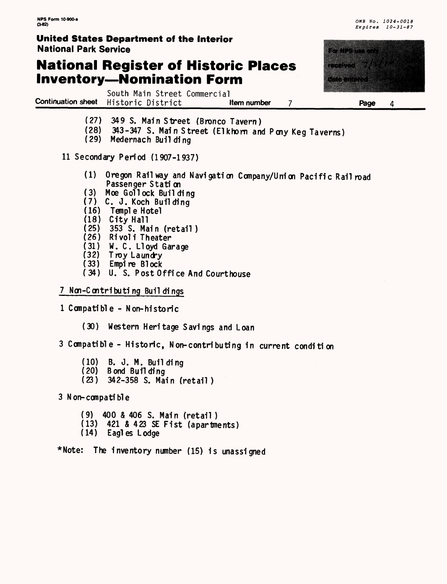### **National Register of Historic Places Inventory—Nomination Form**



Expires 10-31-87

South Main Street Commercial **Continuation sheet** Historic District **Righter Millem number 7 Page** 

- **(27) 349 S. Main Street (Bronco Tavern)**
- (28) 343-347 S. Main Street (Elkhorn and Pcny Keg Taverns)
- (29) Medernach Building

11 Secondary Period (1907-1937)

- (1) Oregon Railway and Navigation Company/Union Pacific Railroad Passenger Station
- (3) Moe Gollock Building
- (7) C. J. Koch Building
- (16) Temple Hotel
- (18) City Hall
- (25) 353 S. Main (retail)
- (26) Rivoli Theater<br>(31) W. C. Lloyd Gam
- (31) W. C. Lloyd Garage
- Troy Laundry
- (33) Empire Block
- (34) U. S. Post Office And Courthouse

#### 7 Non-Contributing Buildings

- 1 Compatible Non-historic
	- (30) Western Heritage Savings and Loan

3 Compatible - Historic, Non-contributing in current condition

- (10) B. J. M. Building
- Bond Building
- (23) 342-358 S. Main (retail )

3 N on-compatible

- (9) 400 & 406 S. Main (retail )
- (13) 421 & 423 SE Fist (apartments)
- (14) Eagles Lodge

\*Note: The inventory number (15) is unassigned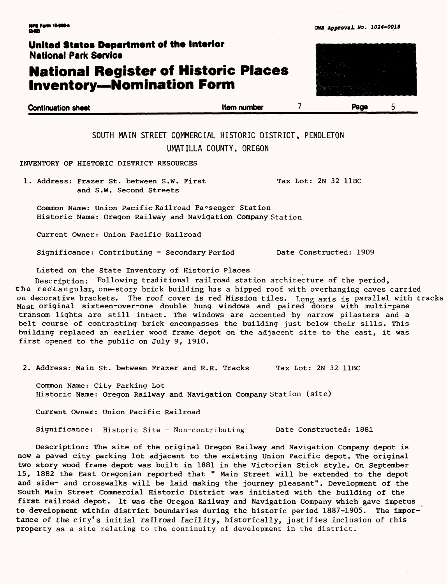# **National Register of Historic Places Inventory—Nomination Form**

| <b>Continuation sheet</b> | <b>Item number</b> | Page |
|---------------------------|--------------------|------|
|                           |                    |      |

SOUTH MAIN STREET COMMERCIAL HISTORIC DISTRICT, PENDLETON UMATILLA COUNTY, OREGON

INVENTORY OF HISTORIC DISTRICT RESOURCES

1. Address: Frazer St. between S.W. First Tax Lot: 2N 32 11BC and S.W. Second Streets

Common Name: Union Pacific Railroad Passenger Station Historic Name: Oregon Railway and Navigation Company Station

Current Owner: Union Pacific Railroad

Significance: Contributing - Secondary Period Date Constructed: 1909

Listed on the State Inventory of Historic Places

Description: Following traditional railroad station architecture of the period, the rec'tangulax, one-story brick building has a hipped roof with overhanging eaves carried on decorative brackets. The roof cover is red Mission tiles. Long axis is parallel with tracks Most original sixteen-over-one double hung windows and paired doors with multi-pane transom lights are still intact. The windows are accented by narrow pilasters and a belt course of contrasting brick encompasses the building just below their sills. This building replaced an earlier wood frame depot on the adjacent site to the east, it was first opened to the public on July 9, 1910.

2. Address: Main St. between Frazer and R.R. Tracks Tax Lot: 2N 32 11BC

Common Name: City Parking Lot Historic Name: Oregon Railway and Navigation Company Station (site)

Current Owner: Union Pacific Railroad

Significance: Historic Site - Non-contributing Date Constructed: 1881

Description: The site of the original Oregon Railway and Navigation Company depot is now a paved city parking lot adjacent to the existing Union Pacific depot. The original two story wood frame depot was built in 1881 in the Victorian Stick style. On September 15, 1882 the East Oregonian reported that " Main Street will be extended to the depot and side- and crosswalks will be laid making the journey pleasant". Development of the South Main Street Commercial Historic District was initiated with the building of the first railroad depot. It was the Oregon Railway and Navigation Company which gave impetus to development within district boundaries during the historic period 1887-1905. The importance of the city's initial railroad facility, historically, justifies inclusion of this property as a site relating to the continuity of development in the district.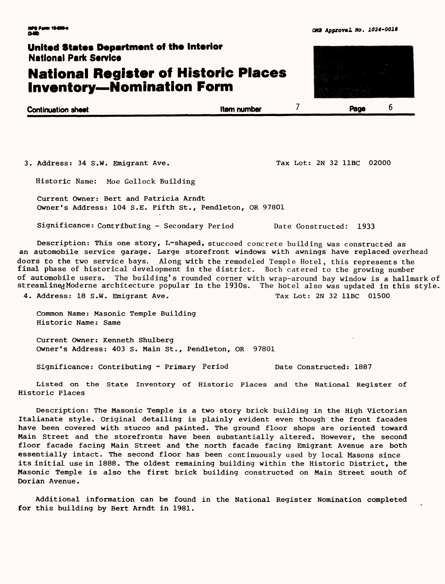6

### **United States Department of the Interior** National Park Service

# **National Register of Historic Places Inventory—Nomination Form**

| <b>Continuation sheet</b> | <b>Item number</b> | Page |
|---------------------------|--------------------|------|
|                           |                    |      |

3. Address: 34 S.W. Emigrant Ave. Tax Lot: 2N 32 11BC 02000

Historic Name: Moe Gollock Building

Current Owner: Bert and Patricia Arndt Owner's Address: 104 S.E. Fifth St., Pendleton, OR 97801

Significance: Contributing - Secondary Period Date Constructed: 1933

Description: This one story, L-shaped, stuccoed concrete building was constructed as an automobile service garage. Large storefront windows with awnings have replaced overhead doors to the two service bays. Along with the remodeled Temple Hotel, this represents the final phase of historical development in the district. Both catered to the growing number of automobile users. The building's rounded corner with wrap-around bay window is a hallmark of streamlined Moderne architecture popular in the 1930s. The hotel also was updated in this style. 4. Address: 18 S.W. Emigrant Ave. Tax Lot: 2N 32 11BC 01500

Common Name: Masonic Temple Building Historic Name: Same

Current Owner: Kenneth Shulberg Owner's Address: 403 S. Main St., Pendleton, OR 97801

Significance: Contributing - Primary Period Date Constructed: 1887

Listed on the State Inventory of Historic Places and the National Register of Historic Places

Description: The Masonic Temple is a two story brick building in the High Victorian Italianate style. Original detailing is plainly evident even though the front facades have been covered with stucco and painted. The ground floor shops are oriented toward Main Street and the storefronts have been substantially altered. However, the second floor facade facing Main Street and the north facade facing Emigrant Avenue are both essentially intact. The second floor has been continuously used by local Masons since its initial use in 1888. The oldest remaining building within the Historic District, the Masonic Temple is also the first brick building constructed on Main Street south of Dorian Avenue.

Additional information can be found in the National Register Nomination completed for this building by Bert Arndt in 1981.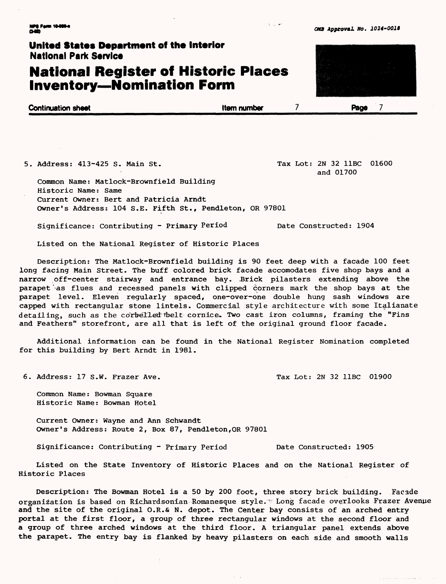### **National Register of Historic Places Inventory—Nomination Form**



5. Address: 413-425 S. Main St. Tax Lot: 2N 32 11BC 01600

and 01700

Common Name: Matlock-Brownfield Building Historic Name: Same Current Owner: Bert and Patricia Arndt Owner's Address: 104 S.E. Fifth St., Pendleton, OR 97801

Significance: Contributing - Primary Period Date Constructed: 1904

Listed on the National Register of Historic Places

Description: The Matlock-Brownfield building is 90 feet deep with a facade 100 feet long facing Main Street. The buff colored brick facade accomodates five shop bays and a narrow off-center stairway and entrance bay. Brick pilasters extending above the parapet as flues and recessed panels with clipped corners mark the shop bays at the parapet level. Eleven regularly spaced, one-over-one double hung sash windows are capped with rectangular stone lintels. Commercial style architecture with some Italianate detailing, such as the corbelled thelt cornice. Two cast iron columns, framing the "Fins and Feathers" storefront, are all that is left of the original ground floor facade.

Additional information can be found in the National Register Nomination completed for this building by Bert Arndt in 1981.

6. Address: 17 S.W. Frazer Ave. Tax Lot: 2N 32 11BC 01900

Common Name: Bowman Square Historic Name: Bowman Hotel

Current Owner: Wayne and Ann Schwandt Owner's Address: Route 2, Box 87, Pendleton,OR 97801

Significance: Contributing - Primary Period Date Constructed: 1905

Listed on the State Inventory of Historic Places and on the National Register of Historic Places

Description: The Bowman Hotel is a 50 by 200 foot, three story brick building. Facade organization is based on Ricliardsonian Romanesque style." Long facade overlooks Frazer Avenue and the site of the original O.R.& N. depot. The Center bay consists of an arched entry portal at the first floor, a group of three rectangular windows at the second floor and a group of three arched windows at the third floor. A triangular panel extends above the parapet. The entry bay is flanked by heavy pilasters on each side and smooth walls

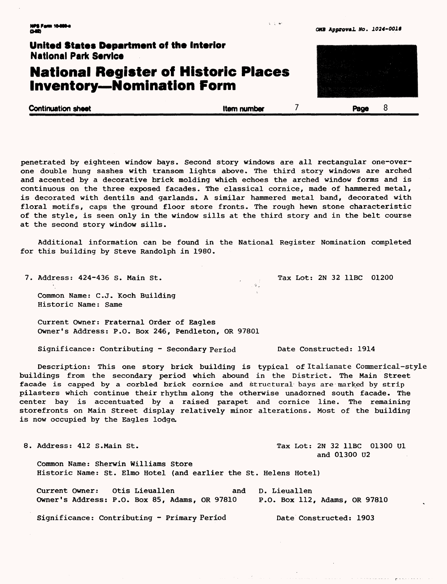#### **C«B Approval WO. 1024-OOH**

### United States Department of the Interior **National Park Service National Register of Historic Places Inventory—Nomination Form**

**Continuation sheet Continuation sheet Continuation sheet Continuation sheet Continuation sheet B** 

 $3 - 1 - 4$ 

penetrated by eighteen window bays. Second story windows are all rectangular one-overone double hung sashes with transom lights above. The third story windows are arched and accented by a decorative brick molding which echoes the arched window forms and is continuous on the three exposed facades. The classical cornice, made of hammered metal, is decorated with dentils and garlands. A similar hammered metal band, decorated with floral motifs, caps the ground floor store fronts. The rough hewn stone characteristic of the style, is seen only in the window sills at the third story and in the belt course at the second story window sills.

Additional information can be found in the National Register Nomination completed for this building by Steve Randolph in 1980.

7. Address: 424-436 S. Main St. . . . . . Tax Lot: 2N 32 11BC 01200 Common Name: C.J. Koch Building Historic Name: Same

Current Owner: Fraternal Order of Eagles Owner's Address: P.O. Box 246, Pendleton, OR 97801

Significance: Contributing - Secondary Period Date Constructed: 1914

Description: This one story brick building is typical of Italianate Commerical-style buildings from the secondary period which abound in the District. The Main Street facade is capped by a corbled brick cornice and structural bays are marked by strip pilasters which continue their rhythm along the otherwise unadorned south facade. The center bay is accentuated by a raised parapet and cornice line. The remaining storefronts on Main Street display relatively minor alterations. Most of the building is now occupied by the Eagles lodge.

8. Address: 412 S.Main St. Tax Lot: 2N 32 11BC 01300 Ul and 01300 U2 Common Name: Sherwin Williams Store Historic Name: St. Elmo Hotel (and earlier the St. Helens Hotel) Current Owner: Otis Lieuallen and D. Lieuallen

Owner's Address: P.O. Box 85, Adams, OR 97810 P.O. Box 112, Adams, OR 97810

Significance: Contributing - Primary Period Date Constructed: 1903

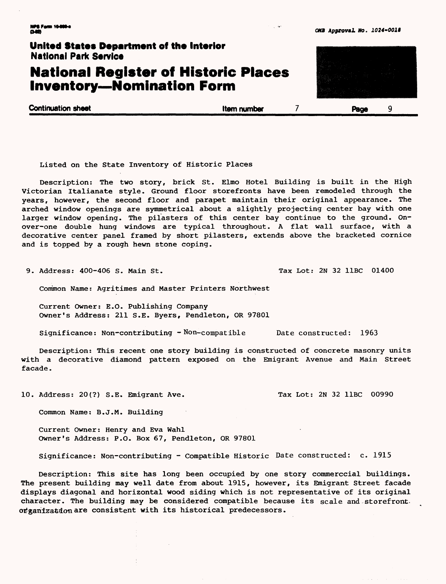### **United States Department of the Interior** National Park Service **National Register of Historic Places Inventory—Nomination Form Continuation sheet\_\_\_\_\_\_\_\_\_\_\_\_\_\_\_\_\_\_\_Item number 7 Page** 9

Listed on the State Inventory of Historic Places

Description: The two story, brick St. Elmo Hotel Building is built in the High Victorian Italianate style. Ground floor storefronts have been remodeled through the years, however, the second floor and parapet maintain their original appearance. The arched window openings are symmetrical about a slightly projecting center bay with one larger window opening. The pilasters of this center bay continue to the ground. Onover-one double hung windows are typical throughout. A flat wall surface, with a decorative center panel framed by short pilasters, extends above the bracketed cornice and is topped by a rough hewn stone coping.

9. Address: 400-406 S. Main St. Tax Lot: 2N 32 11BC 01400

Common Name: Agritimes and Master Printers Northwest

Current Owner: E.G. Publishing Company Owner's Address: 211 S.E. Byers, Pendleton, OR 97801

Significance: Non-contributing -Non-compatible Date constructed: 1963

Description: This recent one story building is constructed of concrete masonry units with a decorative diamond pattern exposed on the Emigrant Avenue and Main Street facade.

10. Address: 20(?) S.E. Emigrant Ave. Tax Lot: 2N 32 11BC 00990

Common Name: B.J.M. Building

Current Owner: Henry and Eva Wahl Owner's Address: P.O. Box 67, Pendleton, OR 97801

Significance: Non-contributing - Compatible Historic Date constructed: c. 1915

Description: This site has long been occupied by one story commerccial buildings. The present building may well date from about 1915, however, its Emigrant Street facade displays diagonal and horizontal wood siding which is not representative of its original character. The building may be considered compatible because its scale and storefrontorganization are consistent with its historical predecessors.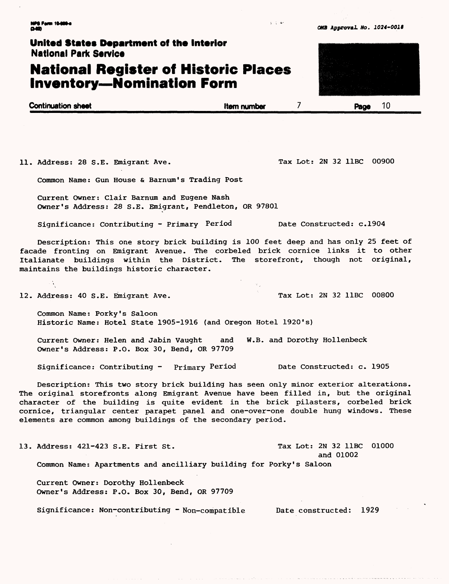### **National Register of Historic Places Inventory—Nomination Form**

| <b>Continuation sheet</b> | Item number | 10<br>Page |
|---------------------------|-------------|------------|
|                           |             |            |

 $3 - 1 - 4$ 

11. Address: 28 S.E. Emigrant Ave. Tax Lot: 2N 32 11BC 00900

Common Name: Gun House & Barnum's Trading Post

Current Owner: Clair Barnum and Eugene Nash Owner's Address: 28 S.E. Emigrant, Pendleton, OR 97801

Significance: Contributing - Primary Period Date Constructed: c.1904

Description: This one story brick building is 100 feet deep and has only 25 feet of facade fronting on Emigrant Avenue. The corbeled brick cornice links it to other Italianate buildings within the District. The storefront, though not original, maintains the buildings historic character.

12. Address: 40 S.E. Emigrant Ave. Tax Lot: 2N 32 11BC 00800

Common Name: Porky's Saloon Historic Name: Hotel State 1905-1916 (and Oregon Hotel 1920's)

Current Owner: Helen and Jabin Vaught and W.B. and Dorothy Hollenbeck Owner's Address: P.O. Box 30, Bend, OR 97709

Significance: Contributing - Primary Period Date Constructed: c. 1905

Description: This two story brick building has seen only minor exterior alterations. The original storefronts along Emigrant Avenue have been filled in, but the original character of the building is quite evident in the brick pilasters, corbeled brick cornice, triangular center parapet panel and one-over-one double hung windows. These elements are common among buildings of the secondary period.

13. Address: 421-423 S.E. First St. The Color of Tax Lot: 2N 32 11BC 01000 and 01002 Common Name: Apartments and ancilliary building for Porky's Saloon

Current Owner: Dorothy Hollenbeck Owner's Address: P.O. Box 30, Bend, OR 97709

Significance: Non-contributing - Non-compatible Date constructed: 1929



*0MB* **Approval** *No. 1024-0018*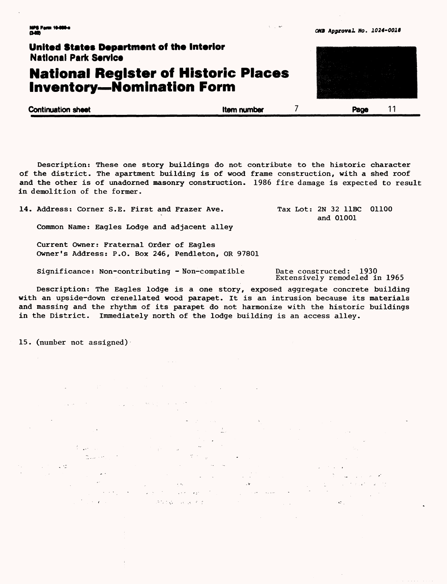### **10+M\*** 0MB Approval \*to. 1024-0010

### **United States Department of the Interior** National Park Service

### **National Register of Historic Places Inventory—Nomination Form**

**Continuation sheet Item number** 11 **Page** 11

Description: These one story buildings do not contribute to the historic character of the district. The apartment building is of wood frame construction, with a shed roof and the other is of unadorned masonry construction. 1986 fire damage is expected to result in demolition of the former.

14. Address: Corner S.E. First and Frazer Ave.

Common Name: Eagles Lodge and adjacent alley

Current Owner: Fraternal Order of Eagles Owner's Address: P.O. Box 246, Pendleton, OR 97801

Significance: Non-contributing -Non-compatible Date constructed: 1930

Extensively remodeled in 1965

 $\mathbf{G}^{\mathcal{L}}$ 

Tax Lot: 2N 32 11BC 01100 and 01001

Description: The Eagles lodge is a one story, exposed aggregate concrete building with an upside-down crenellated wood parapet. It is an intrusion because its materials and massing and the rhythm of its parapet do not harmonize with the historic buildings in the District. Immediately north of the lodge building is an access alley.

 $\sim$   $\sim$ 

Practice as per first

 $\mathcal{A}=\mathcal{A}=\{1,2,3\}$ 

15. (number not assigned)

 $\frac{1}{2}$  ,  $\frac{1}{2}$  ,  $\frac{1}{2}$  ,  $\frac{1}{2}$  ,  $\frac{1}{2}$  , ni<br>Talih seri

 $\mathcal{A} \rightarrow \mathcal{A} \mathcal{A} \rightarrow \mathcal{A}$ 

 $\sim 10^{-1}$  km s  $^{-1}$ 

 $\sim$   $\sim$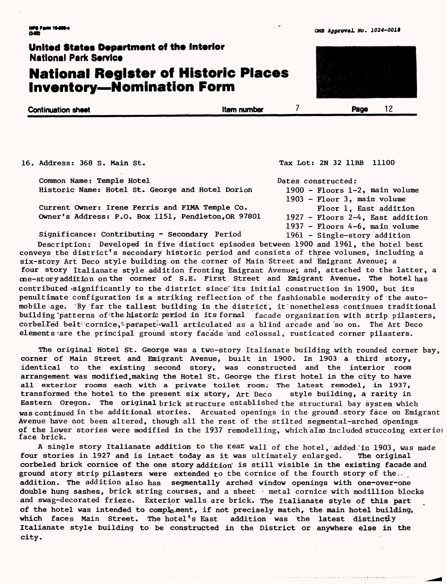# **National Register of Historic Places Inventory—Nomination Form**

**Continuation sheet Item number Item number Page** 12

Dates constructed:

16. Address: 368 S. Main St.

Common Name: Temple Hotel Historic Name: Hotel St. George and Hotel Dorion

Current Owner: Irene Ferris and FIMA Temple Co. Owner's Address: P.O. Box 1151, Pendleton,OR 97801

Significance: Contributing - Secondary Period

1937 - Floors 4-6, main volume<br>1961 - Single-story addition Description: Developed in five distinct episodes between 1900 and 1961, the hotel best conveys the district's secondary historic period and consists of three volumes, including a six-story Art Deco style building on the corner of Main Street and Emigrant Avenue; a four story Italianate style addition fronting Emigrant Avenue; and, attached to the latter, a one-story addition on the corner of S.E. First Street and Emigrant Avenue. The hotel has contributed significantly to the district since its initial construction in 1900, but its penultimate configuration is a striking reflection of the fashionable modernity of the automobile age. *Ny* far the tallest building in the district, it nonetheless continues traditional building "patterns of the historic period in its formal facade organization with strip pilasters, corbelled belt cornice, parapet wall articulated as a blind arcade and so on. The Art Deco elements are the principal ground story facade and colossal, rusticated corner pilasters.

The original Hotel St. George was a two-story Italianate building with rounded corner bay, corner of Main Street and Emigrant Avenue, built in 1900. In 1903 a third story, identical to the existing second story, was constructed and the interior room arrangement was modified,making the Hotel St. George the first hotel in the city to have all exterior rooms each with a private toilet room. The latest remodel, in 1937, transformed the hotel to the present six story, Art Deco style building, a rarity in transformed the hotel to the present six story, Art Deco Eastern Oregon. The original brick structure established the structural bay system which was continued in the additional stories. Arcuated openings in the ground-Story face on Emigrant Avenue have not been altered, though all the rest of the stilted segmental-arched openings of the lower stories were modified in the 1937 remodelling, which also included stuccoing exteriom face brick.

A single story Italianate addition to the sear wall of the hotel, added in 1903, was made four stories in 1927 and is intact today as it was ultimately enlarged. The original corbeled brick cornice of the one story addition" is still visible in the existing facade and ground story strip pilasters were extended to the cornice of the fourth story of the  $\mathbf{x}$ . addition. The addition also has segmentally arched window openings with one-over-one double hung sashes, brick string courses, and a sheet  $\cdot$  metal cornice with modillion blocks and swag-decorated frieze. Exterior walls are brick. The Italianate style of this part of the hotel was intended to complement, if not precisely match, the main hotel building, which faces Main Street. The hotel's East addition was the latest distinctly Italianate style building to be constructed in the District or anywhere else in the city.

Tax Lot: 2N 32 11BB 11100

1900 - Floors 1-2, main volume 1903 - Floor 3, main volume

Floor 1, East addition 1927 - Floors 2-4, East addition

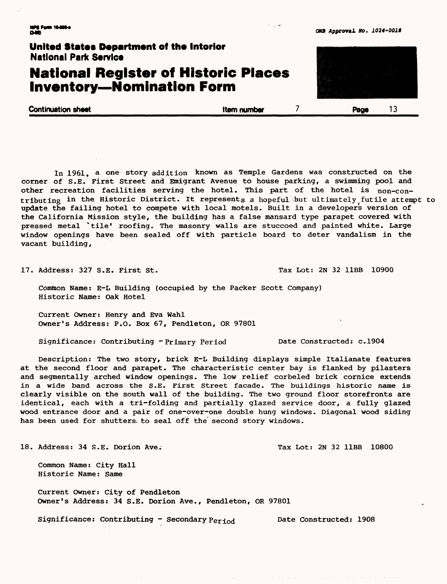#### *Qm* **Approval** 00. *1024-OOlt*



In 1961, a one story addition known as Temple Gardens was constructed on the corner of S.E. First Street and Emigrant Avenue to house parking, a swimming pool and other recreation facilities serving the hotel. This part of the hotel is non-contributing in the Historic District. It represents a hopeful but ultimately futile attempt to update the failing hotel to compete with local motels. Built in a developers version of the California Mission style, the building has a false mansard type parapet covered with pressed metal \*tile' roofing. The masonry walls are stuccoed and painted white. Large window openings have been sealed off with particle board to deter vandalism in the vacant building,

17. Address: 327 S.E. First St. The Contract State of Tax Lot: 2N 32 11BB 10900

Common Name: E-L Building (occupied by the Packer Scott Company) Historic Name: Oak Hotel

Current Owner: Henry and Eva Wahl Owner's Address: P.O. Box 67, Pendleton, OR 97801

Significance: Contributing -Primary Period Date Constructed: c.1904

Description: The two story, brick E-L Building displays simple Italianate features at the second floor and parapet. The characteristic center bay is flanked by pilasters and segmentally arched window openings. The low relief corbeled brick cornice extends in a wide band across the S.E. First Street facade. The buildings historic name is clearly visible on the south wall of the building. The two ground floor storefronts are identical, each with a tri-folding and partially glazed service door, a fully glazed wood entrance door and a pair of one-over-one double hung windows. Diagonal wood siding has been used for shutters, to seal off the second story windows.

18. Address: 34 S.E. Dorion Ave. The Contract of Tax Lot: 2N 32 11BB 10800

Common Name: City Hall Historic Name: Same

Current Owner: City of Pendleton Owner's Address: 34 S.E. Dorion Ave., Pendleton, OR 97801

Significance: Contributing - Secondary  $Peri_{od}$  Date Constructed: 1908

 $\alpha$  ,  $\alpha$  ,  $\alpha$  ,  $\alpha$  ,  $\alpha$  ,  $\alpha$ 

and the analysis

and a straight and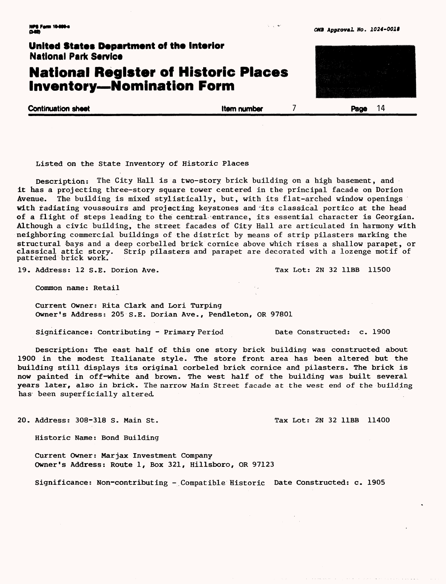### **National Register of Historic Places Inventory—Nomination Form**

**Continuation sheet Continuus Continuus Continuus Continuus Continuus Continuus Continuus Continuus Continuus Continuus Continuus Continuus Continuus Continuus Continuus Continuus Continuus Continuus Continuus Continuus Co** 

Listed on the State Inventory of Historic Places

Description: The City Hall is a two-story brick building on a high basement, and it has a projecting three-story square tower centered in the principal facade on Dorion Avenue. The building is mixed stylistically, but, with its flat-arched window openings with radiating voussouirs and projecting keystones and its classical portico at the head of a flight of steps leading to the central entrance, its essential character is Georgian. Although a civic building, the street facades of Gity Hall are articulated in harmony with neighboring commercial buildings of the district by means of strip pilasters marking the structural bays and a deep corbelled brick cornice above which rises a shallow parapet, or Strip pilasters and parapet are decorated with a lozenge motif of patterned brick work.

19. Address: 12 S.E. Dorion Ave. The Case of Tax Lot: 2N 32 11BB 11500

Common name: Retail

Current Owner: Rita Clark and Lori Turping Owner's Address: 205 S.E. Dorian Ave., Pendleton, OR 97801

Significance: Contributing - Primary Period Date Constructed: c. 1900

Description: The east half of this one story brick building was constructed about 1900 in the modest Italianate style. The store front area has been altered but the building still displays its original corbeled brick cornice and pilasters. The brick is now painted in off-white and brown. The west half of the building was built several years later, also in brick. The narrow Main Street facade at the west end of the building has been superficially altered,

20. Address: 308-318 S. Main St. The Contract of Tax Lot: 2N 32 11BB 11400

Historic Name: Bond Building

Current Owner: Marjax Investment Company Owner's Address: Route 1, Box 321, Hillsboro, OR 97123

Significance: Non-contributing - Compatible Historic Date Constructed: c. 1905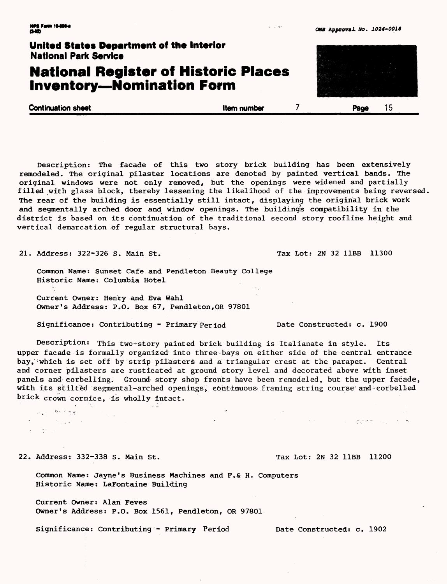### **National Register of Historic Places Inventory — Nomination Form**

**Continuation sheet Continuation sheet Continuation sheet Continuation sheet Continuation sheet Continuation Security Continuation Security Continuation Security Continuation Security Continuation Security Continuation Sec** 

Description: The facade of this two story brick building has been extensively remodeled. The original pilaster locations are denoted by painted vertical bands. The original windows were not only removed, but the openings were widened and partially filled with glass block, thereby lessening the likelihood of the improvements being reversed. The rear of the building is essentially still intact, displaying the original brick work and segmentally arched door and window openings. The building's compatibility in the district is based on its continuation of the traditional second story roofline height and vertical demarcation of regular structural bays.

21. Address: 322-326 S. Main St. Tax Lot: 2N 32 11BB 11300

Common Name: Sunset Cafe and Pendleton Beauty College Historic Name: Columbia Hotel

Current Owner: Henry and Eva Wahl Owner's Address: P.O. Box 67, Pendleton,OR 97801

Significance: Contributing - Primary Period Date Constructed: c. 1900

Description: This two-story painted brick building is Italianate in style. Its upper facade is formally organized into three bays on either side of the central entrance bay, which is set off by strip pilasters and a triangular crest at the parapet. Central and corner pilasters are rusticated at ground story level and decorated above with inset panels and corbelling. Ground story shop fronts have been remodeled, but the upper facade, with its stilted segmental-arched openings, continuous framing string course and corbelled brick crown cornice, is wholly intact.

22. Address: 332-338 S. Main St. Tax Lot: 2N 32 11BB 11200

والمستوقف والمستوقف

 $\omega_{\rm in} = 2\pi^2 \sin^2\theta$  $\mathcal{O}(\mathcal{O}_{\mathcal{A}})$  is a set of  $\mathcal{O}(\mathcal{A})$ 

 $\tau=25$  and

.<br>이번에 대한 사이 사이 *발생하게 나*있는 게 하

Common Name: Jayne's Business Machines and F.& H. Computers Historic Name: LaFontaine Building

Current Owner: Alan Feves Owner's Address: P.O. Box 1561, Pendleton, OR 97801

Significance: Contributing - Primary Period Date Constructed: c. 1902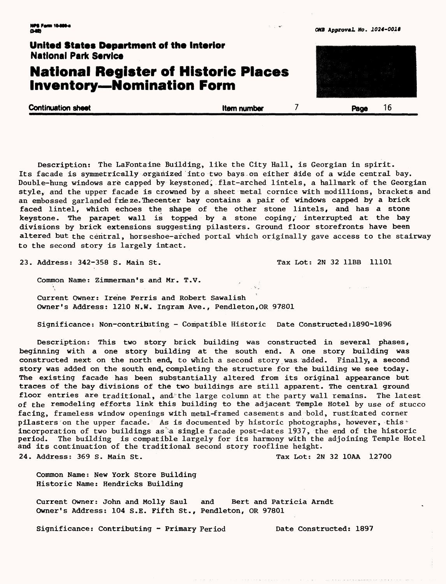### **National Register of Historic Places Inventory—Nomination Form**

**Continuation sheet Continuation sheet Continuation sheet Item number 7 Page 16** 

Description: The LaFontaine Building, like the City Hall, is Georgian in spirit. Its facade is symmetrically organized into two bays on either side of a wide central bay. Double-hung windows are capped by keystoned, flat-arched lintels, a hallmark of the Georgian style, and the upper facade is crowned by a sheet metal cornice with modillions, brackets and an embossed garlanded frie ze. Thecenter bay contains a pair of windows capped by a brick faced lintel, which echoes the shape of the other stone lintels, and has a stone keystone. The parapet wall is topped by a stone coping/ interrupted at the bay divisions by brick extensions suggesting pilasters. Ground floor storefronts have been altered but the central, horseshoe-arched portal which originally gave access to the stairway to the second story is largely intact.

23. Address: 342-358 S. Main St. The Case of Tax Lot: 2N 32 11BB 11101

Common Name: Zimmerman's and Mr. T.V.

Current Owner: Irene Ferris and Robert Sawalish Owner's Address: 1210 N.W. Ingram Ave., Pendleton,OR 97801

Significance: Non-contributing - Compatible Historic Date Constructed:1890-1896

Description: This two story brick building was constructed in several phases, beginning with a one story building at the south end. A one story building was constructed next on the north end, to which a second story was added. Finally, a second story was added on the south end, completing the structure for the building we see today. The existing facade has been substantially altered from its original appearance but traces of the bay divisions of the two buildings are still apparent. The central ground floor entries are traditional, and the large column at the party wall remains. The latest of the remodeling efforts link this building to the adjacent Temple Hotel by use of stucco facing, frameless window openings with metal-framed casements and bold, rusticated corner pilasters on the upper facade. As is documented by historic photographs, however, this incorporation of two buildings as a single facade post-dates 1937, the end of the historic period. The building is compatible largely for its harmony with the adjoining Temple Hotel and its continuation of the traditional second story roofline height.

24. Address: 369 S. Main St. The Contract of Tax Lot: 2N 32 10AA 12700

Common Name: New York Store Building Historic Name: Hendricks Building

Current Owner: John and Molly Saul and Bert and Patricia Arndt Owner's Address: 104 S.E. Fifth St., Pendleton, OR 97801

Significance: Contributing - Primary Period Date Constructed: 1897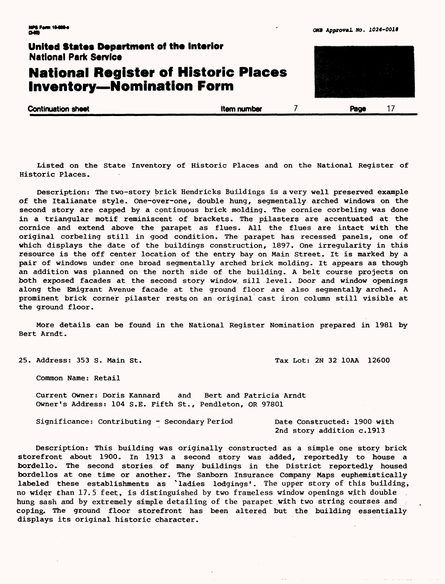### **National Register of Historic Places Inventory—Nomination Form**

**Continuation sheet Continuation sheet Continuation sheet Continuation sheet Continuation sheet Continuation S** 

Listed on the State Inventory of Historic Places and on the National Register of Historic Places.

Description: The two-story brick Hendricks Buildings is a very well preserved example of the Italianate style. One-over-one, double hung, segmentally arched windows on the second story are capped by a continuous brick molding. The cornice corbeling was done in a triangular motif reminiscent of brackets. The pilasters are accentuated at the cornice and extend above the parapet as flues. All the flues are intact with the original corbeling still in good condition. The parapet has recessed panels, one of which displays the date of the buildings construction, 1897. One irregularity in this resource is the off center location of the entry bay on Main Street. It is marked by a pair of windows under one broad segmentally arched brick molding. It appears as though an addition was planned on the north side of the building. A belt course projects on both exposed facades at the second story window, sill level. Door and window openings along the Emigrant Avenue facade at the ground floor are also segmentally arched. A prominent brick corner pilaster rests on an original cast iron column still visible at the ground floor.

More details can be found in the National Register Nomination prepared in 1981 by Bert Arndt.

25. Address: 353 S. Main St. Tax Lot: 2N 32 10AA 12600

Common Name: Retail

Current Owner: Doris Kannard and Bert and Patricia Arndt Owner's Address: 104 S.E. Fifth St., Pendleton, OR 97801

Significance: Contributing - Secondary Period Date Constructed: 1900 with

2nd story addition c.1913

Description: This building was originally constructed as a simple one story brick storefront about 1900. In 1913 a second story was added, reportedly to house a bordello. The second stories of many buildings in the District reportedly housed bordellos at one time or another. The Sanborn Insurance Company Maps euphemistically labeled these establishments as \* ladies lodgings'. The upper story of this building, no wider than 17.5 feet, is distinguished by two frameless window openings with double hung sash and by extremely simple detailing of the parapet with two string courses and coping. The ground floor storefront has been altered but the building essentially displays its original historic character.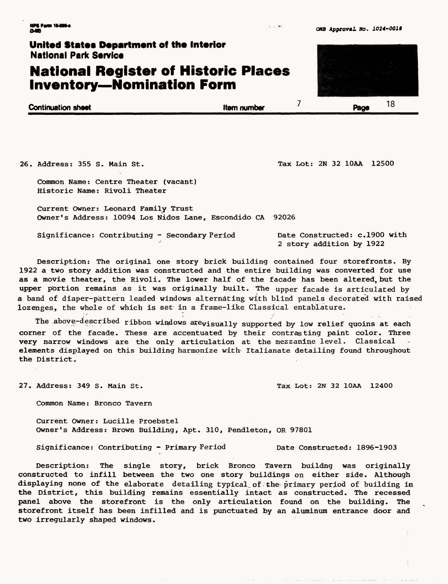### **National Register of Historic Places Inventory—Nomination Form**

 $\overline{7}$ **Continuation sheet Item number** Item number Page

26. Address: 355 S. Main St. Tax Lot: 2N 32 10AA 12500

Common Name: Centre Theater (vacant) Historic Name: Rivoli Theater

Current Owner: Leonard Family Trust Owner's Address: 10094 Los Nidos Lane, Escondido CA 92026

Significance: Contributing - Secondary Period Date Constructed: c.1900 with 2 story addition by 1922

Description: The original one story brick building contained four storefronts. By 1922 a two story addition was constructed and the entire building was converted for use as a movie theater, the Rivoli. The lower half of the facade has been altered, but the upper portion remains as it was originally built. The upper facade is articulated by a band of diaper-pattern leaded windows alternating with blind panels decorated with raised lozenges, the whole of which is set in a frame-like Classical entablature.

The above-described ribbon windows arevisually supported by low relief quoins at each corner of the facade. These are accentuated by their contrasting paint color. Three very narrow windows are the only articulation at the mezzanine level. Classical elements displayed on this building harmonize with Italianate detailing found throughout the District.

27. Address: 349 S. Main St. The Contract of Tax Lot: 2N 32 10AA 12400

Common Name: Bronco Tavern

Current Owner: Lucille Proebstel Owner's Address: Brown Building, Apt. 310, Pendleton, OR 97801

Significance: Contributing - Primary Period Date Constructed: 1896-1903

Description: The single story, brick Bronco Tavern buildng was originally constructed to infill between the two one story buildings on either side. Although displaying none of the elaborate detailing typical of the primary period of building in the District, this building remains essentially intact as constructed. The recessed panel above the storefront is the only articulation found on the building. The storefront itself has been infilled and is punctuated by an aluminum entrance door and two irregularly shaped windows.



**<sup>&</sup>lt;1024-0019**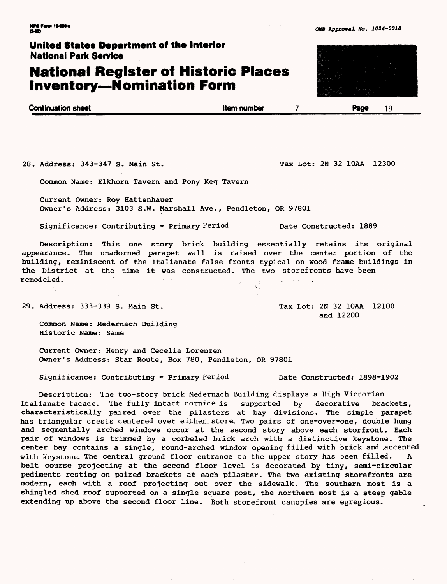### **National Register of Historic Places Inventory—Nomination Form**

| <b>Continuation sheet</b> | <b>Item number</b> | Page |  |
|---------------------------|--------------------|------|--|
|                           |                    |      |  |

28. Address: 343-347 S. Main St. The Contract of Tax Lot: 2N 32 10AA 12300

Common Name: Elkhorn Tavern and Pony Keg Tavern

Current Owner: Roy Hattenhauer Owner's Address: 3103 S.W. Marshall Ave., Pendleton, OR 97801

Significance: Contributing - Primary Period Date Constructed: 1889

Description: This one story brick building essentially retains its original appearance. The unadorned parapet wall is raised over the center portion of the building, reminiscent of the Italianate false fronts typical on wood frame buildings in the District at the time it was constructed. The two storefronts have been remodeled. . .

29. Address: 333-339 S. Main St. Tax Lot: 2N 32 10AA 12100

and 12200

Common Name: Medernach Building Historic Name: Same

Current Owner: Henry and Cecelia Lorenzen Owner's Address: Star Route, Box 780, Pendleton, OR 97801

Significance: Contributing - Primary Period Date Constructed: 1898-1902

Description: The two-story brick Medernach Building displays a High Victorian Italianate facade. The fully intact cornice is supported by decorative brackets, characteristically paired over the pilasters at bay divisions. The simple parapet has triangular crests centered over either, store. Two pairs of one-over-one, double hung and segmentally arched windows occur at the second story above each storfront. Each pair of windows is trimmed by a corbeled brick arch with a distinctive keystone. The center bay contains a single, round-arched window opening filled with brick and .accented with keystone. The central ground floor entrance to the upper story has been filled. A belt course projecting at the second floor level is decorated by tiny, semi-circular pediments resting on paired brackets at each pilaster. The two existing storefronts are modern, each with a roof projecting out over the sidewalk. The southern most is a shingled shed roof supported on a single square post, the northern most is a steep gable extending up above the second floor line. Both storefront canopies are egregious.



 $5 - 10$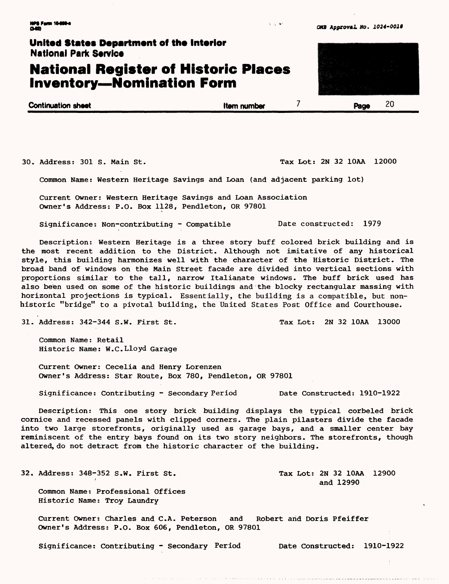### **National Register of Historic Places Inventory--Nomination Form**

| <b>Continuation sheet</b> | <b>Item number</b> | Page | ۷J |
|---------------------------|--------------------|------|----|
|                           |                    |      |    |

30. Address: 301 S. Main St. Tax Lot: 2N 32 10AA 12000

Common Name: Western Heritage Savings and Loan (and adjacent parking lot)

Current Owner: Western Heritage Savings and Loan Association Owner's Address: P.O. Box 1128, Pendleton, OR 97801

Significance: Non-contributing - Compatible Date constructed: 1979

Description: Western Heritage is a three story buff colored brick building and is the most recent addition to the District. Although not imitative of any historical style, this building harmonizes well with the character of the Historic District. The broad band of windows on the Main Street facade are divided into vertical sections with proportions similar to the tall, narrow Italianate windows. The buff brick used has also been used on some of the historic buildings and the blocky rectangular massing with horizontal projections is typical. Essentially, the building is a compatible, but nonhistoric "bridge" to a pivotal building, the United States Post Office and Courthouse.

31. Address: 342-344 S.W. First St. Tax Lot: 2N 32 10AA 13000

Common Name: Retail Historic Name: W.C.Lloyd Garage

Current Owner: Cecelia and Henry Lorenzen Owner's Address: Star Route, Box 780, Pendleton, OR 97801

Significance: Contributing - Secondary Period Date Constructed: 1910-1922

Description: This one story brick building displays the typical corbeled brick cornice and recessed panels with clipped corners. The plain pilasters divide the facade into two large storefronts, originally used as garage bays, and a smaller center bay reminiscent of the entry bays found on its two story neighbors. The storefronts, though altered, do not detract from the historic character of the building.

32. Address: 348-352 S.W. First St. Tax Lot: 2N 32 10AA 12900

Common Name: Professional Offices Historic Name: Troy Laundry

Current Owner: Charles and C.A. Peterson and Robert and Doris Pfeiffer Owner's Address: P.O. Box 606, Pendleton, OR 97801

Significance: Contributing - Secondary Period Date Constructed: 1910-1922

and 12990



 $3 - 1 - 4$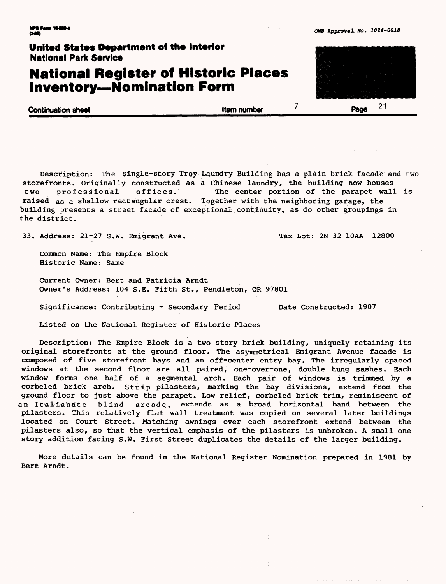### **National Register of Historic Places Inventory—Nomination Form**

**Continuation sheet Item number and Item number and Item number Page** 

 $21$ 

Description: The single-story Troy Laundry Building has a plain brick facade and two storefronts. Originally constructed as a Chinese laundry, the building now houses two professional offices. The center portion of the parapet wall is raised as a shallow rectangular crest. Together with the neighboring garage, the building presents a street facade of exceptional:continuity, as do other groupings in the district.

33. Address: 21-27 S.W. Emigrant Ave. Tax Lot: 2N 32 10AA 12800

Common Name: The Empire Block Historic Name: Same

Current Owner: Bert and Patricia Arridt Owner's Address: 104 S.E. Fifth St., Pendleton, OR 97801

Significance: Contributing - Secondary Period Date Constructed: 1907

Listed on the National Register of Historic Places

Description: The Empire Block is a two story brick building, uniquely retaining its original storefronts at the ground floor. The asymmetrical Emigrant Avenue facade is composed of five storefront bays and an off-center entry bay. The irregularly spaced windows at the second floor are all paired, one-over-one, double hung sashes. Each window forms one half of a segmental arch. Each pair of windows is trimmed by a corbeled brick arch. Strip pilasters, marking the bay divisions, extend from the ground floor to just above the parapet. Low relief, corbeled brick trim, reminiscent of an Italianate blind arcade, extends as a broad horizontal band between the pilasters. This relatively flat wall treatment was copied on several later buildings located on Court Street. Matching awnings over each storefront extend between the pilasters also, so that the vertical emphasis of the pilasters is unbroken. A small one story addition facing S.W. First Street duplicates the details of the larger building.

More details can be found in the National Register Nomination prepared in 1981 by Bert Arndt.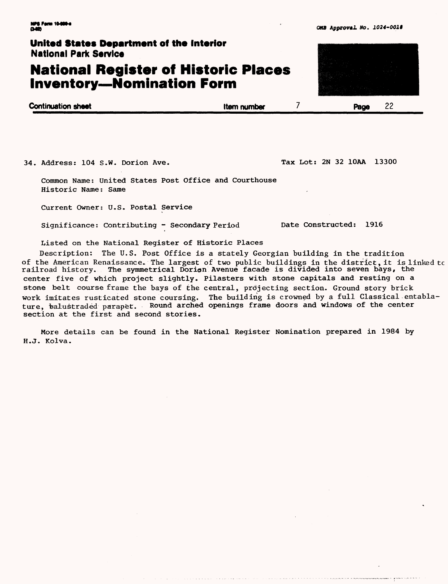### **National Register of Historic Places Inventory — Nomination Form**

| <b>Continuation sheet</b> | <b>Item number</b> | Page |  |
|---------------------------|--------------------|------|--|
|                           |                    |      |  |

34. Address: 104 S.W. Dorion Ave. Tax Lot: 2N 32 10AA 13300

Common Name: United States Post Office and Courthouse Historic Name: Same

Current Owner: U.S. Postal Service

Significance: Contributing - Secondary Period Date Constructed: 1916

Listed on the National Register of Historic Places

Description: The U.S. Post Office is a stately Georgian building in the tradition of the American Renaissance. The largest of two public buildings in the district, it is linked tc railroad history. The symmetrical Dorion Avenue facade is divided into seven bays, the center five of which project slightly. Pilasters with stone capitals and resting on a stone belt course frame the bays of the central, projecting section. Ground story brick work imitates rusticated stone coursing. The building is crowned by a full Classical entablature, balustraded parapet. Round arched openings frame doors and windows of the center section at the first and second stories.

More details can be found in the National Register Nomination prepared in 1984 by H.J. Kolva.

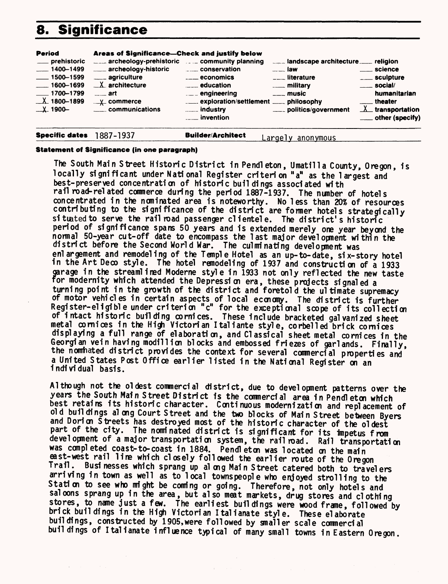# **8. Significance**

| <b>Period</b><br>___ prehistoric<br>$-1400 - 1499$<br>$\frac{1}{2}$ 1500-1599<br>$-1600 - 1699$<br>$\frac{1}{2}$ 1700–1799<br>$X$ 1800-1899<br>$\_\perp$ 1900- | Areas of Significance—Check and justify below<br>archeology-prehistoric  community planning<br>archeology-historic<br>____ agriculture<br>$\_\mathsf{X}$ architecture<br>$\frac{1}{2}$ art<br>$\mathsf{L}$ commerce<br>communications | conservation<br><b>Example 2</b> economics<br><b>Example 2</b> education | landscape architecture religion<br>$-$ law<br>$\frac{1}{2}$ literature<br>$\overline{\phantom{a}}$ music<br>_____ politics/government | <u>__</u> __ science<br>____ sculpture<br>$\equiv$ social/<br>humanitarian<br><u>__</u> __theater<br>$\underline{\lambda}$ transportation<br>___ other (specify) |
|----------------------------------------------------------------------------------------------------------------------------------------------------------------|---------------------------------------------------------------------------------------------------------------------------------------------------------------------------------------------------------------------------------------|--------------------------------------------------------------------------|---------------------------------------------------------------------------------------------------------------------------------------|------------------------------------------------------------------------------------------------------------------------------------------------------------------|
| <b>Specific dates</b>                                                                                                                                          | 1887-1937                                                                                                                                                                                                                             | <b>Builder/Architect</b>                                                 | Larqely anonymous                                                                                                                     |                                                                                                                                                                  |

#### **Statement of Significance (in one paragraph)**

The South Main Street Historic District in Pendleton, Umatilla County, Oregon, is locally significant under National Register criterion "a" as the largest and best-preserved concentration of historic buildings associated with rail road-related commerce during the period 1887-1937. The nunber of hotels concentrated in the nominated area is noteworthy. No less than 20% of resources contributing to the significance of the district are former hotels strategically situated to serve the railroad passenger clientele. The district's historic period of significance spans 50 years and is extended merely one year beyond the normal 50-year cut-off date to encompass the last major development within the district before the Second World War. The culminating development was enlargement and remodeling of the Temple Hotel as an up-to-date, six-story hotel in the Art Deco style. The hotel remodeling of 1937 and construction of a 1933 garage in the streamlined Moderne style in 1933 not only reflected the new taste for modernity which attended the Depression era, these projects signaled a turning point in the growth of the district and foretold the ultimate supremacy of motor vehicles in certain aspects of local economy. The district is further or motor venicles in certain aspects of local economy. The district is further<br>Register-eligible under criterion "c" for the exceptional scope of its collection of intact historic building cornices. These include bracketed galvanized sheet metal cornices in the High Victorian I taliante style, corbelled brick cornices displaying a full range of elaboration, and Classical sheet metal cornices in the Georgian vein having modillion blocks and embossed friezes of garlands. Finally, the nominated district provides the context for several commercial properties and a United States Post Office earlier listed in the National Register on an individual basis.

Although not the oldest commercial district, due to development patterns over the years the South Main Street District is the commercial area in Pendleton which best retains its historic character. Continuous modernization and replacement of old buildings al ong Court Street and the two blocks of Main Street between Byers and Dorion Streets has destroyed most of the historic character of the oldest part of the city. The nominated district is significant for its impetus from development of a major transportation system, the railroad. Rail transportation was completed coast-to-coast in 1884. Pendleton was located on the main east-west rail line which closely followed the earlier route of the Oregon Trail. Businesses which sprang up along Main Street catered both to travelers arriving in town as well as to local townspeople who enjoyed strolling to the Station to see who might be coming or going. Therefore, not only hotels and sal cons sprang up in the area, but also meat markets, drug stores and clothing stores, to name just a few. The earliest buildings were wood frame, followed by brick buildings in the High Victorian Italianate style. These elaborate buildings, constructed by 1905, were followed by smaller scale commercial buil dings of Italianate influence typical of many small towns in Eastern Oregon.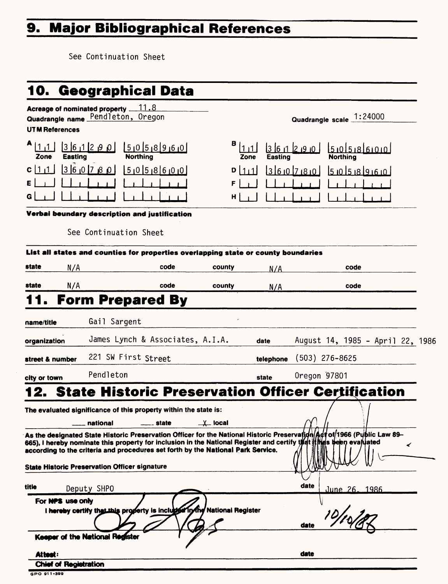# **9. Major Bibliographical References**

See Continuation Sheet

|                                                                                                    | 10. Geographical Data                                                                                                                                                                                            |                         |                                      |                                                                                                                          |   |
|----------------------------------------------------------------------------------------------------|------------------------------------------------------------------------------------------------------------------------------------------------------------------------------------------------------------------|-------------------------|--------------------------------------|--------------------------------------------------------------------------------------------------------------------------|---|
| Acreage of nominated property $11.8$<br>Quadrangle name Pendleton, Oregon<br><b>UTM References</b> |                                                                                                                                                                                                                  |                         |                                      | Quadrangle scale 1:24000                                                                                                 |   |
| 361290<br><b>Easting</b><br>Zone                                                                   | 01518960<br><b>Northing</b>                                                                                                                                                                                      | в<br>Zone               | ا 0، 9، 2ا 1، 16 3<br><b>Easting</b> | 5.05.86000<br><b>Northing</b>                                                                                            |   |
| 960780<br>C[1]                                                                                     | 5058600                                                                                                                                                                                                          | $D$   1   1  <br>F<br>H | 360780                               | 5058960                                                                                                                  |   |
|                                                                                                    | Verbai beundary description and justification                                                                                                                                                                    |                         |                                      |                                                                                                                          |   |
|                                                                                                    | See Continuation Sheet                                                                                                                                                                                           |                         |                                      |                                                                                                                          |   |
|                                                                                                    | List all states and counties for properties overlapping state or county boundaries                                                                                                                               |                         |                                      |                                                                                                                          |   |
| state<br>N/A                                                                                       | code                                                                                                                                                                                                             | county                  | N/A                                  | code                                                                                                                     |   |
| N/A<br>state                                                                                       | code                                                                                                                                                                                                             | county                  | N/A                                  | code                                                                                                                     |   |
|                                                                                                    | <b>Form Prepared By</b>                                                                                                                                                                                          |                         |                                      |                                                                                                                          |   |
| name/title                                                                                         | Gail Sargent                                                                                                                                                                                                     |                         |                                      |                                                                                                                          |   |
| organization                                                                                       | James Lynch & Associates, A.I.A.                                                                                                                                                                                 |                         | date                                 | August 14, 1985 - April 22, 1986                                                                                         |   |
| street & number                                                                                    | 221 SW First Street                                                                                                                                                                                              |                         | telephone                            | $(503)$ 276-8625                                                                                                         |   |
| city or town                                                                                       | Pendleton                                                                                                                                                                                                        |                         | state                                | Oregon 97801                                                                                                             |   |
|                                                                                                    |                                                                                                                                                                                                                  |                         |                                      | State Historic Preservation Officer Certification                                                                        |   |
|                                                                                                    | The evaluated significance of this property within the state is:                                                                                                                                                 |                         |                                      |                                                                                                                          |   |
| national                                                                                           | state<br>665), I hereby nominate this property for inclusion in the National Register and certify that it has been evaluated<br>according to the criteria and procedures set forth by the National Park Service. | _⊻_ local               |                                      | As the designated State Historic Preservation Officer for the National Historic Preservațion Act of 1966 (Public Law 89- | ✔ |
| <b>State Historic Preservation Officer signature</b>                                               |                                                                                                                                                                                                                  |                         |                                      |                                                                                                                          |   |
| title<br>Deputy SHPO                                                                               |                                                                                                                                                                                                                  |                         |                                      | date<br>June 26, 1986                                                                                                    |   |
| For NPS use only                                                                                   | I hereby certify that this property is include in the National Register                                                                                                                                          |                         |                                      | date                                                                                                                     |   |
| Keeper of the National Register                                                                    |                                                                                                                                                                                                                  |                         |                                      |                                                                                                                          |   |
| Attest:<br><b>Chief of Registration</b>                                                            |                                                                                                                                                                                                                  |                         |                                      | date                                                                                                                     |   |

**GPO 91 1-399**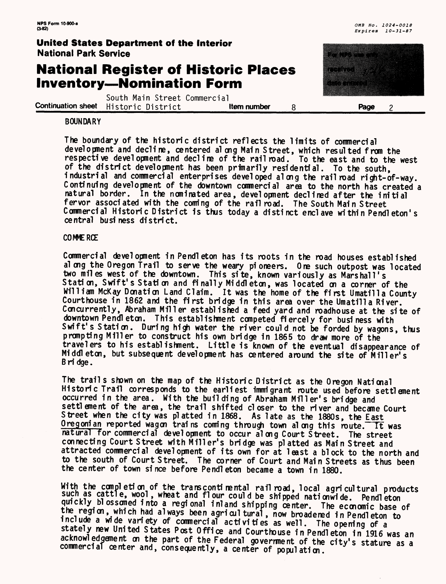# **National Register of Historic Places Inventory — Nomination Form**

South Main Street Commercial **Continuation sheet** Historic District **Regional Litem number 8 can all Page** 2

#### **BOUNDARY**

The boundary of the historic district reflects the limits of commercial development and decline, centered along Main Street, which resulted from the respective development and decline of the railroad. To the east and to the west of the district development has been primarily residential. To the south, industrial and commercial enterprises developed along the railroad right-of-way. Continuing development of the downtown commercial area to the north has created a natural border. In the nominated area, development declined after the initial fervor associated with the coming of the rail road. The South Main Street Commercial Historic District is thus today a distinct enclave within Pendleton's ce ntral business district.

#### COWERCE

Commercial development inPendleton has its roots in the road houses established al ong the Oregon Trail to serve the weary pioneers. One such outpost was located two miles west of the downtown. This site, known variously as Marshall's Station, Swift's Station and finally Middleton, was located on a corner of the William McKay Donation Land Claim. It was the home of the first Umatilla County Courthouse in 1862 and the first bridge in this area over the Umatilla River. Concurrently, Abraham Miller established a feed yard and roadhouse at the site of downtown Pendl eton. This establishment competed fiercely for business with Swift's Station. During high water the river could not be forded by wagons, thus prompting Miller to construct his own bridge in 1865 to draw more of the travelers to his establishment. Little is known of the eventual disappearance of Middleton, but subsequent development has centered around the site of Miller's B ri dge .

The trails shown on the map of the Historic District as the Oregon National Historic Trail corresponds to the earliest immigrant route used before settlement occurred in the area. With the building of Abraham Miller's bridge and settlement of the area, the trail shifted closer to the river and became Court Street when the city was platted in 1868. As late as the 1880s, the East Oregonian reported wagon trains coming through town along this route. It was natural for commercial development to occur along Court Street. The street connecting Court Street with Miller's bridge was platted as Main Street and attracted commercial development of its own for at least a block to the north and to the south of Court Street. The corner of Court and Main Streets as thus been the center of town since before Pendl eton became a town in 1880.

With the completion of the transcontinental railroad, local agricultural products<br>such as cattle, wool, wheat and flour could be shipped nationwide. Pendleton quickly blossomed into a regional inland shipping center. The economic base of<br>the region, which had always been agricultural, now broadened in Pendleton to include a wide variety of commercial activities as well. The opening of a stately new United States Post Office and Courthouse in Pendl eton in 1916 was an acknowledgement on the part of the Federal government of the city's stature as a commercial center and, consequently, a center of population.

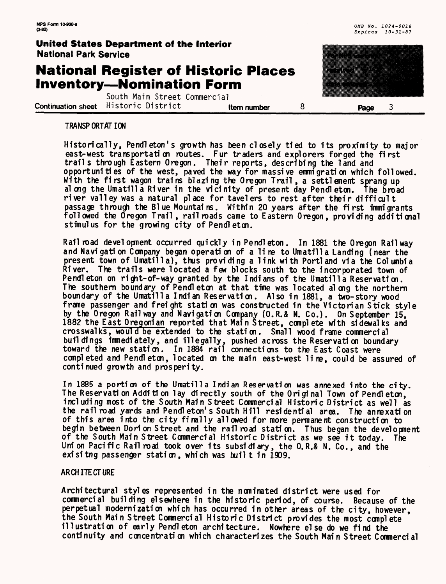# **National Register of Historic Places Inventory—Nomination Form**

South Main Street Commercial **Continuation sheet** Historic District **in the number** and **Page** 3



#### **TRANSPORTATION**

Historically, Pendleton's growth has been closely tied to its proximity to major east-west transportation routes. Fur traders and explorers forged the first trails through Eastern Oregon. Their reports, describing the land and opportunities of the west, paved the way for massive emmigration which followed. With the first wagon trains blazing the Oregon Trail , a settlement sprang up along the Umatilla River in the vicinity of present day Pendleton. The broad river valley was a natural place for tavelers to rest after their difficult passage through the Bl ue Mountains. Within 20 years after the first immigrants followed the Oregon Trail, railroads came to Eastern Oregon, providing additional stimulus for the growing city of Pendleton.

Railroad development occurred quickly in Pendleton. In 1881 the Oregon Railway and Navigation Company began operation of a line to Umatilla Landing (near the present town of Umatilla), thus providing a link with Portland via the Columbia River. The trails were located a few blocks south to the incorporated town of Pendleton on right-of-way granted by the Indians of the Umatilla Reservation. The southern boundary of Pendleton at that time was located along the northern boundary of the Umatilla Indian Reservation. Also in 1881, a two-story wood frame passenger and freight station was constructed in the Victorian Stick style by the Oregon Railway and Navigation Company (O.R.& N. Co.). On September 15, 1882 the East Oregonian reported that Main Street, complete with sidewalks and crosswalks, would be extended to the station. Small wood frame commercial buildings immediately, and illegally, pushed across the Reservati on boundary toward the new station. In 1884 rail connections to the East Coast were completed and Pendleton, located on the main east-west line, could be assured of continued growth and prosperity.

In 1885 a portion of the Umatilla Indian Reservation was annexed into the city. The Reservation Addition lay directly south of the Original Town of Pendleton, including most of the South Main Street Commercial Historic District as well as the railroad yards and Pendleton's South Hill residential area. The annexation of this area into the city finally allowed for more permanent construction to begin between Dorion Street and the railroad station. Thus began the development of the South Main Street Commercial Historic District as we see it today. The Union Pacific Railroad took over its subsidiary, the O.R.& N. Co., and the exisitng passenger station, which was built in 1909.

#### ARCHITECTURE

Architectural styles represented in the nominated district were used for commercial building elsewhere in the historic period, of course. Because of the perpetual modernization which has occurred in other areas of the city, however, the South Main Street Commercial Historic District provides the most complete illustration of early Pendleton architecture. Nowhere else do we find the continuity and concentration which characterizes the South Main Street Commercial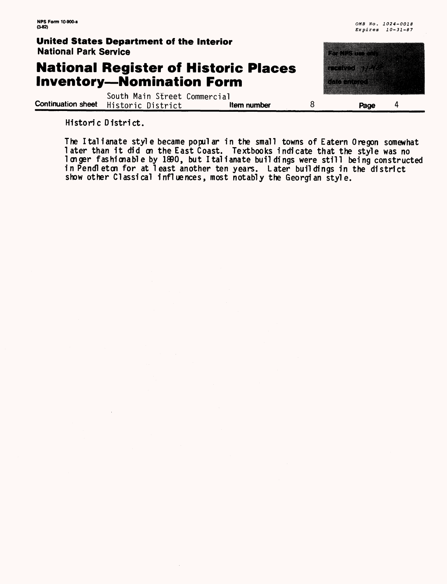an an an t-

#### **United States Department of the Interior** National Park Service

### **National Register of Historic Places Inventory—Nomination Form**

South Main Street Commercial<br>Historic District **them number Continuation sheet** Historic District **Item number** 8 **Page** 4

Historic District.

The Italianate style became popular in the small towns of Eatern Oregon somewhat Ine Italianate style became popular in the small towns of Eatern Uregon somewhat<br>later than it did on the East Coast. Textbooks indicate that the style was no longer fashionable by 1890, but Italianate buildings were still being constructed in Pendleton for at least another ten years. Later buildings in the district show other Classical influences, most notably the Georgian style.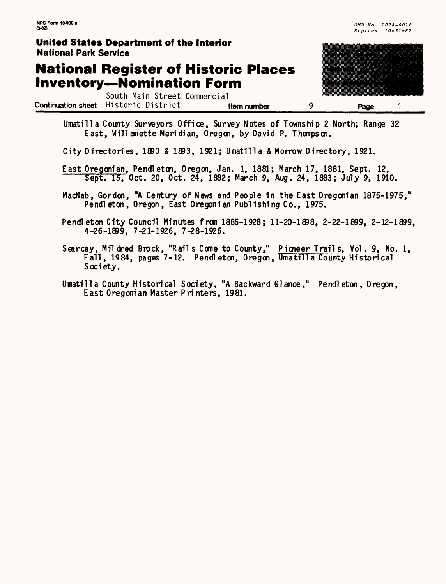# **National Register of Historic Places Inventory—Nomination Form**

South Main Street Commercial **Continuation sheet** Historic District **Item number** 9 **Page** 1



Umatilla County Surveyors Office, Survey Notes of Township 2 North; Range 32 East, Willamette Meridian, Oregon, by David P. Thompson.

City Directories, 1890 *&* 1893, 1921; Umatilla & Morrow Directory, 1921.

East Oregonian, Pendleton, Oregon, Jan. 1, 1881; March 17, 1881, Sept. 12, Sept. 15, Oct. 20, Oct. 24, 1882; March 9, Aug. 24, 1883; July 9, 1910.

MacNab, Gordon, "A Century of News and People in the East Oregonian 1875-1975," Pendleton, Oregon, East Oregonian Publishing Co., 1975.

Pendleton City Council Minutes from 1885-1928; 11-20-1898, 2-22-1899, 2-12-1899, 4-26-1899, 7-21-1926, 7-28-1926.

Searcey, Mildred Brock, "Rails Come to County," Pioneer Trails, Vol. 9, No. 1, Fall, 1984, pages 7-12. Pendleton, Oregon, Umatilla County Historical Society.

Umatilla County Historical Society, "A Backward Glance," Pendleton, Oregon, East Oregonian Master Printers, 1981.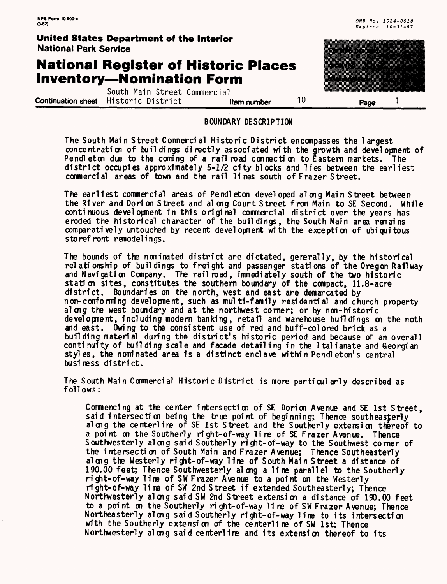### **National Register of Historic Places Inventory — Nomination Form**

South Main Street Commercial **Continuation sheet** Historic District **and item number 10 Page** 1



#### **BOUNDARY DESCRIPTION**

The South Main Street Comnercial Historic District encompasses the largest concentration of buildings directly associated with the growth and development of Pendleton due to the coming of a rail road connection to Eastern markets. The district occupies approximately 5-1/2 city blocks and lies between the earliest commercial areas of town and the rail lines south of Frazer Street.

The earliest commercial areas of Pendleton developed along Main Street between the River and Dorion Street and al ong Court Street from Main to SE Second. While continuous development in this original commercial district over the years has eroded the historical character of the buildings, the South Main area remains comparatively untouched by recent development with the exception of ubiquitous storefront remodelings.

The bounds of the nominated district are dictated, generally, by the historical relationship of buildings to freight and passenger stations of the Oregon Railway and Navigation Company. The railroad, immediately south of the two historic station sites, constitutes the southern boundary of the compact, 11.8-acre district. Boundaries on the north, west and east are demarcated by n on- conforming development, such as multi-family residential and church property along the west boundary and at the northwest corner; or by non-historic development, including modern banking, retail and warehouse buildings on the noth and east. Owing to the consistent use of red and buff-colored brick as a building material during the district's historic period and because of an overall continuity of building scale and facade detailing in the Italianate and Georgian styles, the nominated area is a distinct enclave within Pendleton's central busi ness district.

The South Main Commercial Historic District is more particularly described as follows:

Commencing at the center intersection of SE Dorion Avenue and SE 1st Street, said intersection being the true point of beginning; Thence southeasterly along the centerline of SE 1st Street and the Southerly extension thereof to a point on the Southerly right-of-way line of SE Frazer Avenue. Thence Southwesterly along said Southerly right-of-way to the Southwest corner of the i ntersecti on of South Main and Frazer Avenue; Thence Southeasterly along the Westerly right-of-way line of South Main Street a distance of 190.00 feet; Thence Southwesterly along a line parallel to the Southerly right-of-way line of SW Frazer Avenue to a point on the Westerly right-of-way lire of SW 2nd Street if extended Southeasterly; Thence Northwesterly along said SW 2nd Street extension a distance of 190.00 feet to a point on the Southerly right-of-way line of SW Frazer Avenue; Thence Northeasterly along said Southerly right-of-way line to its intersection with the Southerly extension of the centerline of SW 1st; Thence Northwesterly along said centerline and its extension thereof to its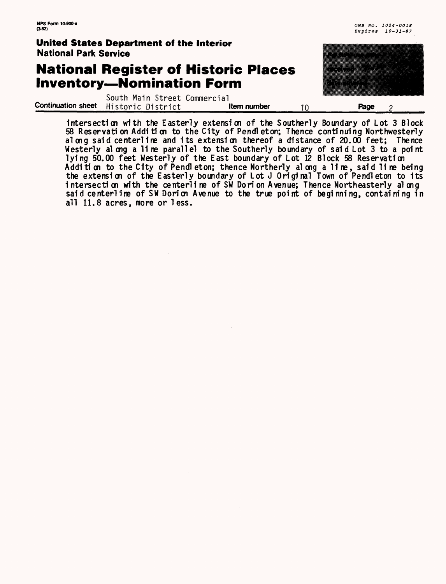### **National Register of Historic Places Inventory—Nomination Form**

| <b>National Park Service</b> | United States Department of the Interior                             |                                             | matang pangangang pangangang pang                                                                                                          |  |
|------------------------------|----------------------------------------------------------------------|---------------------------------------------|--------------------------------------------------------------------------------------------------------------------------------------------|--|
|                              | <b>Inventory-Nomination Form</b>                                     | <b>National Register of Historic Places</b> | <u> Tanzania di Santa Bandaria di Santa Bandaria di Santa Bandaria di Santa Bandaria di Santa Bandaria di Santa B</u><br><b>Altamatica</b> |  |
|                              | South Main Street Commercial<br>Continuation sheet Historic District | Item number                                 | Page                                                                                                                                       |  |

intersection with the Easterly extension of the Southerly Boundary of Lot *3* Block 58 Reservation Additi on to the City of Pendleton; Thence continuing Northwesterly along said centerline and its extension thereof a distance of 20.00 feet; Thence Westerly al ong a line parallel to the Southerly boundary of said Lot 3 to a point lying 50.00 feet Westerly of the East boundary of Lot 12 Block 58 Reservation Addition to the City of Pendl eton; thence Northerly along a line, said line being the extension of the Easterly boundary of Lot J Original Town of Pendleton to its intersection with the centerline of SW Dorion Avenue; Thence Northeasterly along said centerline of SW Dorion Avenue to the true point of beginning, containing in all 11.8 acres, more or less.